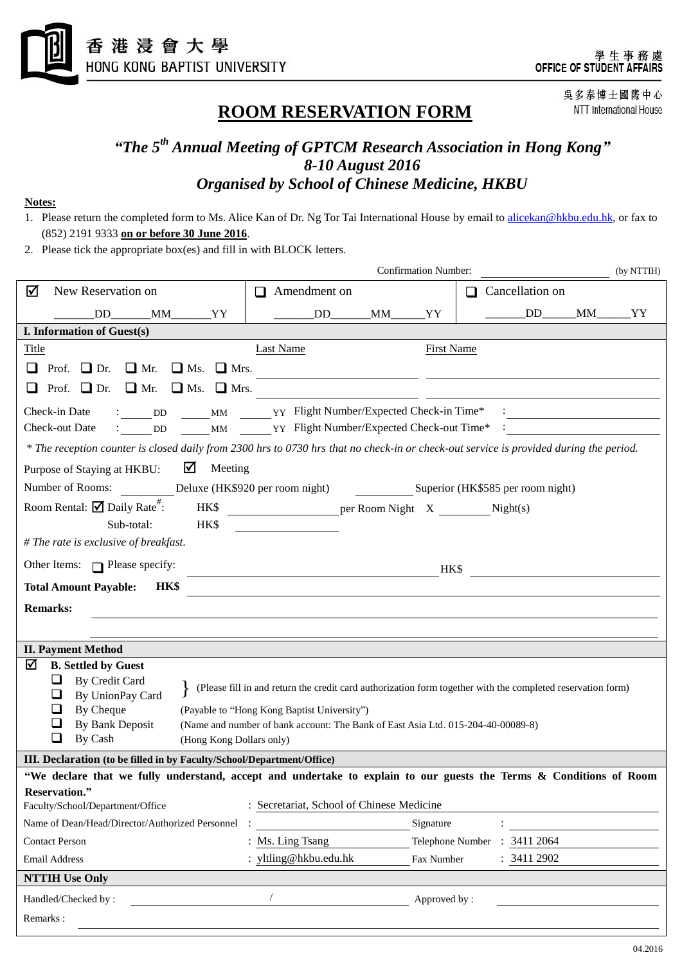

# **ROOM RESERVATION FORM**

吳多泰博士國際中心 NTT International House

## *"The 5 th Annual Meeting of GPTCM Research Association in Hong Kong" 8-10 August 2016 Organised by School of Chinese Medicine, HKBU*

#### **Notes:**

- 1. Please return the completed form to Ms. Alice Kan of Dr. Ng Tor Tai International House by email to [alicekan@hkbu.edu.hk,](mailto:alicekan@hkbu.edu.hk) or fax to (852) 2191 9333 **on or before 30 June 2016**.
- 2. Please tick the appropriate box(es) and fill in with BLOCK letters.

|                                                                                                                                                                                                                                                                                                                                                                                                                         | <b>Confirmation Number:</b><br>(by NTTIH) |  |                   |                        |
|-------------------------------------------------------------------------------------------------------------------------------------------------------------------------------------------------------------------------------------------------------------------------------------------------------------------------------------------------------------------------------------------------------------------------|-------------------------------------------|--|-------------------|------------------------|
| New Reservation on<br>☑                                                                                                                                                                                                                                                                                                                                                                                                 | $\Box$ Amendment on                       |  |                   | $\Box$ Cancellation on |
| DD<br>$M$ M $_{\text{M}}$ YY                                                                                                                                                                                                                                                                                                                                                                                            | DD <sub>2</sub>                           |  | _YY               | DD_____MM_____YY       |
| I. Information of Guest(s)                                                                                                                                                                                                                                                                                                                                                                                              |                                           |  |                   |                        |
| <b>Title</b>                                                                                                                                                                                                                                                                                                                                                                                                            | <b>Last Name</b>                          |  | <b>First Name</b> |                        |
| Prof. $\Box$ Dr.<br>$\Box$ Ms.<br>$\Box$ Mrs.<br>$\Box$ Mr.                                                                                                                                                                                                                                                                                                                                                             |                                           |  |                   |                        |
| Prof. $\Box$ Dr.<br>$\Box$ Ms. $\Box$ Mrs.<br>$\Box$ Mr.                                                                                                                                                                                                                                                                                                                                                                |                                           |  |                   |                        |
| : DD MM YY Flight Number/Expected Check-in Time*<br>Check-in Date                                                                                                                                                                                                                                                                                                                                                       |                                           |  |                   |                        |
| : DD _____MM ______YY Flight Number/Expected Check-out Time* :<br>Check-out Date                                                                                                                                                                                                                                                                                                                                        |                                           |  |                   |                        |
| * The reception counter is closed daily from 2300 hrs to 0730 hrs that no check-in or check-out service is provided during the period.                                                                                                                                                                                                                                                                                  |                                           |  |                   |                        |
| $\blacksquare$ Meeting<br>Purpose of Staying at HKBU:                                                                                                                                                                                                                                                                                                                                                                   |                                           |  |                   |                        |
| Number of Rooms: Deluxe (HK\$920 per room night) Superior (HK\$585 per room night)                                                                                                                                                                                                                                                                                                                                      |                                           |  |                   |                        |
| Room Rental: $\overline{\mathbf{M}}$ Daily Rate <sup>#</sup> :                                                                                                                                                                                                                                                                                                                                                          |                                           |  |                   |                        |
| HK\$<br>Sub-total:                                                                                                                                                                                                                                                                                                                                                                                                      |                                           |  |                   |                        |
| # The rate is exclusive of breakfast.                                                                                                                                                                                                                                                                                                                                                                                   |                                           |  |                   |                        |
| Other Items: $\Box$ Please specify:                                                                                                                                                                                                                                                                                                                                                                                     |                                           |  | HK\$              |                        |
| <b>HK\$</b><br><b>Total Amount Payable:</b>                                                                                                                                                                                                                                                                                                                                                                             |                                           |  |                   |                        |
| <b>Remarks:</b>                                                                                                                                                                                                                                                                                                                                                                                                         |                                           |  |                   |                        |
|                                                                                                                                                                                                                                                                                                                                                                                                                         |                                           |  |                   |                        |
| <b>II. Payment Method</b>                                                                                                                                                                                                                                                                                                                                                                                               |                                           |  |                   |                        |
| ☑<br><b>B.</b> Settled by Guest<br>By Credit Card<br>❏<br>(Please fill in and return the credit card authorization form together with the completed reservation form)<br>By UnionPay Card<br>⊔<br>By Cheque<br>ப<br>(Payable to "Hong Kong Baptist University")<br>By Bank Deposit<br>⊔<br>(Name and number of bank account: The Bank of East Asia Ltd. 015-204-40-00089-8)<br>❏<br>By Cash<br>(Hong Kong Dollars only) |                                           |  |                   |                        |
| III. Declaration (to be filled in by Faculty/School/Department/Office)                                                                                                                                                                                                                                                                                                                                                  |                                           |  |                   |                        |
| "We declare that we fully understand, accept and undertake to explain to our guests the Terms & Conditions of Room                                                                                                                                                                                                                                                                                                      |                                           |  |                   |                        |
| Reservation."<br>Faculty/School/Department/Office                                                                                                                                                                                                                                                                                                                                                                       | : Secretariat, School of Chinese Medicine |  |                   |                        |
| Name of Dean/Head/Director/Authorized Personnel                                                                                                                                                                                                                                                                                                                                                                         |                                           |  | Signature         |                        |
| <b>Contact Person</b>                                                                                                                                                                                                                                                                                                                                                                                                   | : Ms. Ling Tsang                          |  | Telephone Number  | 3411 2064              |
| <b>Email Address</b>                                                                                                                                                                                                                                                                                                                                                                                                    | : yltling@hkbu.edu.hk                     |  | Fax Number        | 3411 2902              |
| <b>NTTIH Use Only</b>                                                                                                                                                                                                                                                                                                                                                                                                   |                                           |  |                   |                        |
| Handled/Checked by:                                                                                                                                                                                                                                                                                                                                                                                                     |                                           |  | Approved by:      |                        |
| Remarks:                                                                                                                                                                                                                                                                                                                                                                                                                |                                           |  |                   |                        |
|                                                                                                                                                                                                                                                                                                                                                                                                                         |                                           |  |                   |                        |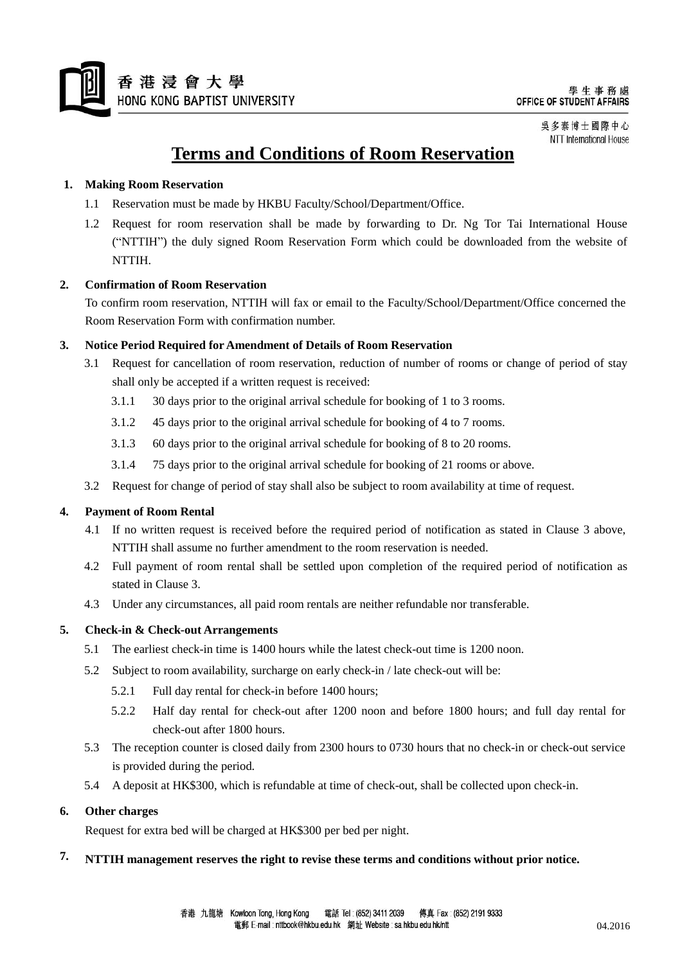

吳多泰博士國際中心 NTT International House

# **Terms and Conditions of Room Reservation**

#### **1. Making Room Reservation**

- 1.1 Reservation must be made by HKBU Faculty/School/Department/Office.
- 1.2 Request for room reservation shall be made by forwarding to Dr. Ng Tor Tai International House ("NTTIH") the duly signed Room Reservation Form which could be downloaded from the website of NTTIH.

#### **2. Confirmation of Room Reservation**

To confirm room reservation, NTTIH will fax or email to the Faculty/School/Department/Office concerned the Room Reservation Form with confirmation number.

#### **3. Notice Period Required for Amendment of Details of Room Reservation**

- 3.1 Request for cancellation of room reservation, reduction of number of rooms or change of period of stay shall only be accepted if a written request is received:
	- 3.1.1 30 days prior to the original arrival schedule for booking of 1 to 3 rooms.
	- 3.1.2 45 days prior to the original arrival schedule for booking of 4 to 7 rooms.
	- 3.1.3 60 days prior to the original arrival schedule for booking of 8 to 20 rooms.
	- 3.1.4 75 days prior to the original arrival schedule for booking of 21 rooms or above.
- 3.2 Request for change of period of stay shall also be subject to room availability at time of request.

#### **4. Payment of Room Rental**

- 4.1 If no written request is received before the required period of notification as stated in Clause 3 above, NTTIH shall assume no further amendment to the room reservation is needed.
- 4.2 Full payment of room rental shall be settled upon completion of the required period of notification as stated in Clause 3.
- 4.3 Under any circumstances, all paid room rentals are neither refundable nor transferable.

#### **5. Check-in & Check-out Arrangements**

- 5.1 The earliest check-in time is 1400 hours while the latest check-out time is 1200 noon.
- 5.2 Subject to room availability, surcharge on early check-in / late check-out will be:
	- 5.2.1 Full day rental for check-in before 1400 hours;
	- 5.2.2 Half day rental for check-out after 1200 noon and before 1800 hours; and full day rental for check-out after 1800 hours.
- 5.3 The reception counter is closed daily from 2300 hours to 0730 hours that no check-in or check-out service is provided during the period.
- 5.4 A deposit at HK\$300, which is refundable at time of check-out, shall be collected upon check-in.

#### **6. Other charges**

Request for extra bed will be charged at HK\$300 per bed per night.

### **7. NTTIH management reserves the right to revise these terms and conditions without prior notice.**